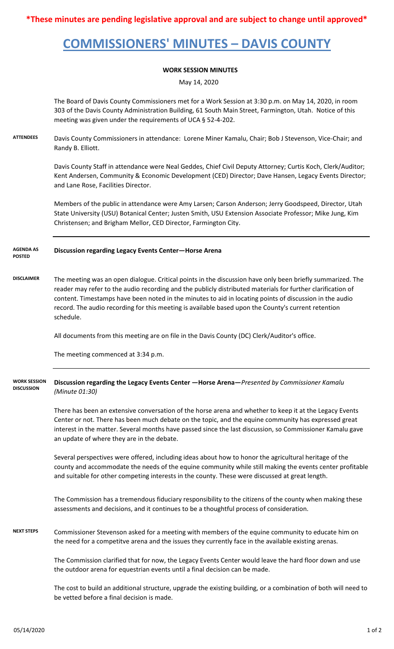**\*These minutes are pending legislative approval and are subject to change until approved\***

# **COMMISSIONERS' MINUTES – DAVIS COUNTY**

### **WORK SESSION MINUTES**

May 14, 2020

The Board of Davis County Commissioners met for a Work Session at 3:30 p.m. on May 14, 2020, in room 303 of the Davis County Administration Building, 61 South Main Street, Farmington, Utah. Notice of this meeting was given under the requirements of UCA § 52-4-202.

**ATTENDEES** Davis County Commissioners in attendance: Lorene Miner Kamalu, Chair; Bob J Stevenson, Vice-Chair; and Randy B. Elliott.

> Davis County Staff in attendance were Neal Geddes, Chief Civil Deputy Attorney; Curtis Koch, Clerk/Auditor; Kent Andersen, Community & Economic Development (CED) Director; Dave Hansen, Legacy Events Director; and Lane Rose, Facilities Director.

Members of the public in attendance were Amy Larsen; Carson Anderson; Jerry Goodspeed, Director, Utah State University (USU) Botanical Center; Justen Smith, USU Extension Associate Professor; Mike Jung, Kim Christensen; and Brigham Mellor, CED Director, Farmington City.

#### **Discussion regarding Legacy Events Center—Horse Arena AGENDA AS POSTED**

**DISCLAIMER** The meeting was an open dialogue. Critical points in the discussion have only been briefly summarized. The reader may refer to the audio recording and the publicly distributed materials for further clarification of content. Timestamps have been noted in the minutes to aid in locating points of discussion in the audio record. The audio recording for this meeting is available based upon the County's current retention schedule.

All documents from this meeting are on file in the Davis County (DC) Clerk/Auditor's office.

The meeting commenced at 3:34 p.m.

#### **Discussion regarding the Legacy Events Center —Horse Arena—***Presented by Commissioner Kamalu (Minute 01:30)* **WORK SESSION DISCUSSION**

There has been an extensive conversation of the horse arena and whether to keep it at the Legacy Events Center or not. There has been much debate on the topic, and the equine community has expressed great interest in the matter. Several months have passed since the last discussion, so Commissioner Kamalu gave an update of where they are in the debate.

Several perspectives were offered, including ideas about how to honor the agricultural heritage of the county and accommodate the needs of the equine community while still making the events center profitable and suitable for other competing interests in the county. These were discussed at great length.

The Commission has a tremendous fiduciary responsibility to the citizens of the county when making these assessments and decisions, and it continues to be a thoughtful process of consideration.

**NEXT STEPS** Commissioner Stevenson asked for a meeting with members of the equine community to educate him on the need for a competitve arena and the issues they currently face in the available existing arenas.

> The Commission clarified that for now, the Legacy Events Center would leave the hard floor down and use the outdoor arena for equestrian events until a final decision can be made.

The cost to build an additional structure, upgrade the existing building, or a combination of both will need to be vetted before a final decision is made.